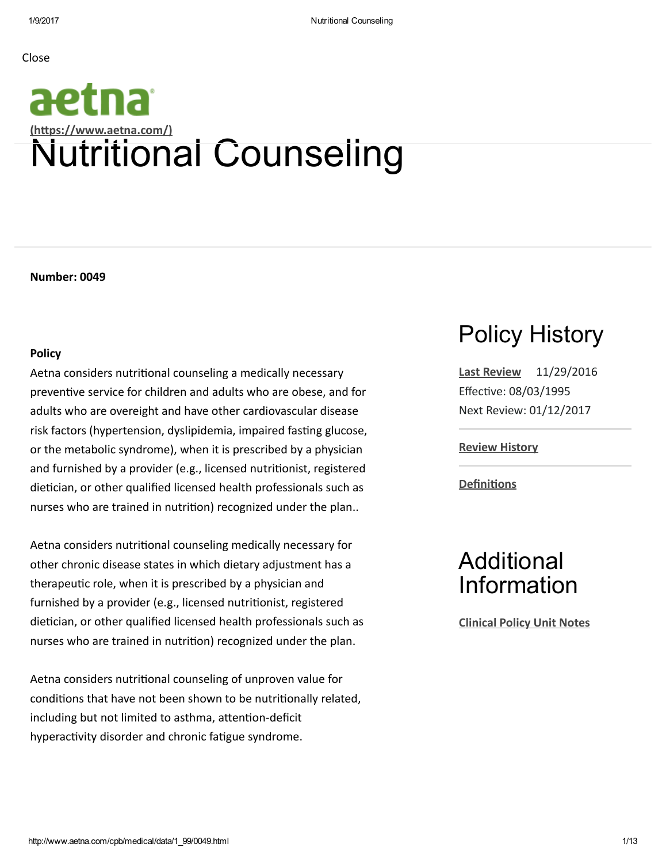Close

# aetna (https://www.aetna.com/) Nutritional Counseling

Number: 0049

#### Policy

Aetna considers nutritional counseling a medically necessary preventive service for children and adults who are obese, and for adults who are overeight and have other cardiovascular disease risk factors (hypertension, dyslipidemia, impaired fasting glucose, or the metabolic syndrome), when it is prescribed by a physician and furnished by a provider (e.g., licensed nutritionist, registered dietician, or other qualified licensed health professionals such as nurses who are trained in nutrition) recognized under the plan..

Aetna considers nutritional counseling medically necessary for other chronic disease states in which dietary adjustment has a therapeutic role, when it is prescribed by a physician and furnished by a provider (e.g., licensed nutritionist, registered dietician, or other qualified licensed health professionals such as nurses who are trained in nutrition) recognized under the plan.

Aetna considers nutritional counseling of unproven value for conditions that have not been shown to be nutritionally related, including but not limited to asthma, attention-deficit hyperactivity disorder and chronic fatigue syndrome.

## Policy History

Last [Review](javascript:;) 11/29/2016 Effective: 08/03/1995 Next Review: 01/12/2017

Review [History](javascript:;)

**Definitions** 

### Additional Information

[Clinical](javascript:;) Policy Unit Notes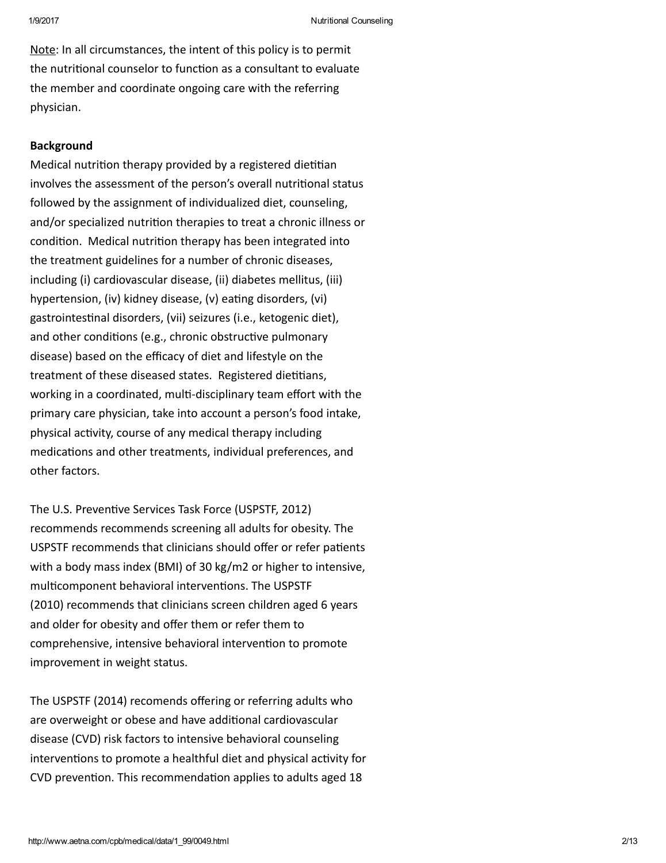Note: In all circumstances, the intent of this policy is to permit the nutritional counselor to function as a consultant to evaluate the member and coordinate ongoing care with the referring physician.

### Background

Medical nutrition therapy provided by a registered dietitian involves the assessment of the person's overall nutritional status followed by the assignment of individualized diet, counseling, and/or specialized nutrition therapies to treat a chronic illness or condition. Medical nutrition therapy has been integrated into the treatment guidelines for a number of chronic diseases, including (i) cardiovascular disease, (ii) diabetes mellitus, (iii) hypertension, (iv) kidney disease, (v) eating disorders, (vi) gastrointestinal disorders, (vii) seizures (i.e., ketogenic diet), and other conditions (e.g., chronic obstructive pulmonary disease) based on the efficacy of diet and lifestyle on the treatment of these diseased states. Registered dietitians, working in a coordinated, multi-disciplinary team effort with the primary care physician, take into account a person's food intake, physical activity, course of any medical therapy including medications and other treatments, individual preferences, and other factors.

The U.S. Preventive Services Task Force (USPSTF, 2012) recommends recommends screening all adults for obesity. The USPSTF recommends that clinicians should offer or refer patients with a body mass index (BMI) of 30 kg/m2 or higher to intensive, multicomponent behavioral interventions. The USPSTF (2010) recommends that clinicians screen children aged 6 years and older for obesity and offer them or refer them to comprehensive, intensive behavioral intervention to promote improvement in weight status.

The USPSTF (2014) recomends offering or referring adults who are overweight or obese and have additional cardiovascular disease (CVD) risk factors to intensive behavioral counseling interventions to promote a healthful diet and physical activity for CVD prevention. This recommendation applies to adults aged 18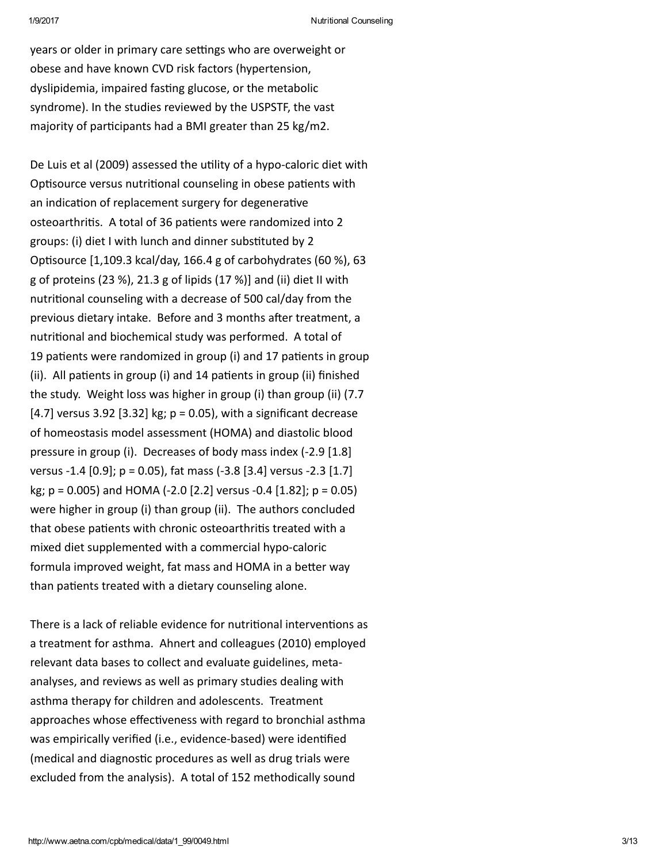years or older in primary care settings who are overweight or obese and have known CVD risk factors (hypertension, dyslipidemia, impaired fasting glucose, or the metabolic syndrome). In the studies reviewed by the USPSTF, the vast majority of participants had a BMI greater than 25 kg/m2.

De Luis et al (2009) assessed the utility of a hypo-caloric diet with Optisource versus nutritional counseling in obese patients with an indication of replacement surgery for degenerative osteoarthritis. A total of 36 patients were randomized into 2 groups: (i) diet I with lunch and dinner substituted by 2 Optisource  $[1,109.3$  kcal/day, 166.4 g of carbohydrates (60 %), 63 g of proteins (23 %), 21.3 g of lipids (17 %)] and (ii) diet II with nutritional counseling with a decrease of 500 cal/day from the previous dietary intake. Before and 3 months after treatment, a nutritional and biochemical study was performed. A total of 19 patients were randomized in group (i) and 17 patients in group (ii). All patients in group (i) and  $14$  patients in group (ii) finished the study. Weight loss was higher in group (i) than group (ii) (7.7 [4.7] versus 3.92 [3.32] kg;  $p = 0.05$ ], with a significant decrease of homeostasis model assessment (HOMA) and diastolic blood pressure in group (i). Decreases of body mass index (‐2.9 [1.8] versus ‐1.4 [0.9]; p = 0.05), fat mass (‐3.8 [3.4] versus ‐2.3 [1.7] kg; p = 0.005) and HOMA (‐2.0 [2.2] versus ‐0.4 [1.82]; p = 0.05) were higher in group (i) than group (ii). The authors concluded that obese patients with chronic osteoarthritis treated with a mixed diet supplemented with a commercial hypo‐caloric formula improved weight, fat mass and HOMA in a better way than patients treated with a dietary counseling alone.

There is a lack of reliable evidence for nutritional interventions as a treatment for asthma. Ahnert and colleagues (2010) employed relevant data bases to collect and evaluate guidelines, meta‐ analyses, and reviews as well as primary studies dealing with asthma therapy for children and adolescents. Treatment approaches whose effectiveness with regard to bronchial asthma was empirically verified (i.e., evidence-based) were identified (medical and diagnostic procedures as well as drug trials were excluded from the analysis). A total of 152 methodically sound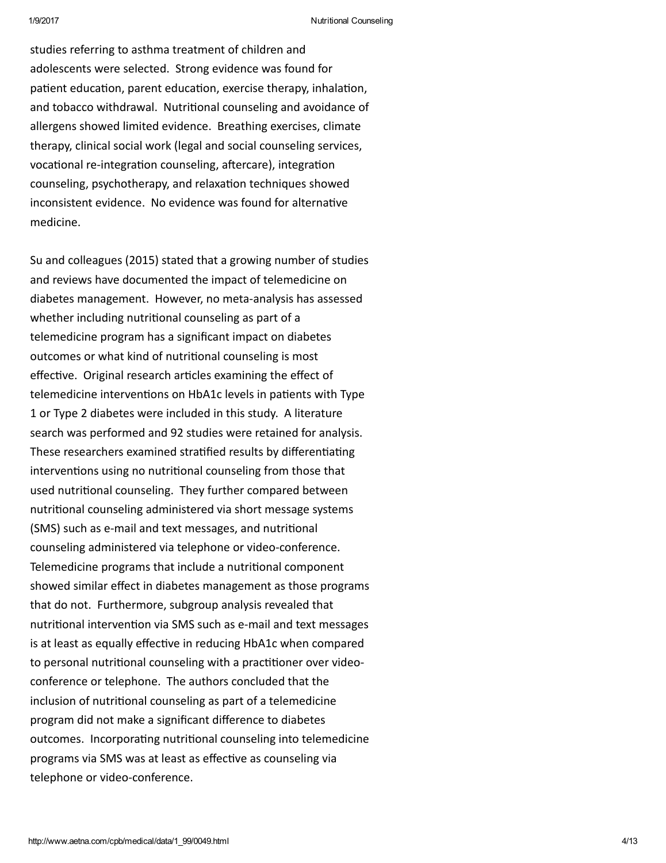studies referring to asthma treatment of children and adolescents were selected. Strong evidence was found for patient education, parent education, exercise therapy, inhalation, and tobacco withdrawal. Nutritional counseling and avoidance of allergens showed limited evidence. Breathing exercises, climate therapy, clinical social work (legal and social counseling services, vocational re-integration counseling, aftercare), integration counseling, psychotherapy, and relaxation techniques showed inconsistent evidence. No evidence was found for alternative medicine.

Su and colleagues (2015) stated that a growing number of studies and reviews have documented the impact of telemedicine on diabetes management. However, no meta‐analysis has assessed whether including nutritional counseling as part of a telemedicine program has a significant impact on diabetes outcomes or what kind of nutritional counseling is most effective. Original research articles examining the effect of telemedicine interventions on HbA1c levels in patients with Type 1 or Type 2 diabetes were included in this study. A literature search was performed and 92 studies were retained for analysis. These researchers examined stratified results by differentiating interventions using no nutritional counseling from those that used nutritional counseling. They further compared between nutritional counseling administered via short message systems (SMS) such as e-mail and text messages, and nutritional counseling administered via telephone or video‐conference. Telemedicine programs that include a nutritional component showed similar effect in diabetes management as those programs that do not. Furthermore, subgroup analysis revealed that nutritional intervention via SMS such as e-mail and text messages is at least as equally effective in reducing HbA1c when compared to personal nutritional counseling with a practitioner over videoconference or telephone. The authors concluded that the inclusion of nutritional counseling as part of a telemedicine program did not make a significant difference to diabetes outcomes. Incorporating nutritional counseling into telemedicine programs via SMS was at least as effective as counseling via telephone or video‐conference.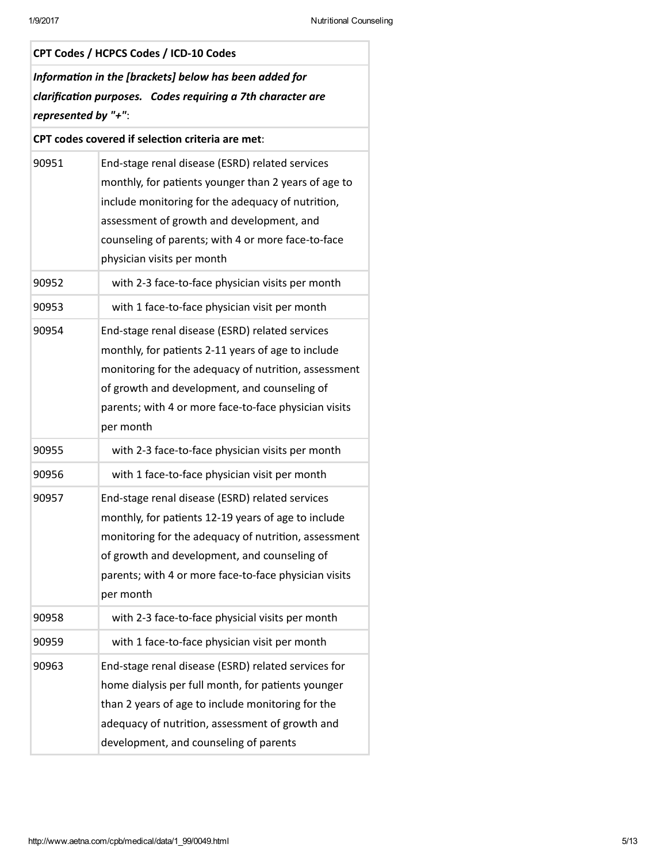| CPT Codes / HCPCS Codes / ICD-10 Codes                                                                                                       |                                                                                                                                                                                                                                                                                               |  |
|----------------------------------------------------------------------------------------------------------------------------------------------|-----------------------------------------------------------------------------------------------------------------------------------------------------------------------------------------------------------------------------------------------------------------------------------------------|--|
| Information in the [brackets] below has been added for<br>clarification purposes. Codes requiring a 7th character are<br>represented by "+": |                                                                                                                                                                                                                                                                                               |  |
| CPT codes covered if selection criteria are met:                                                                                             |                                                                                                                                                                                                                                                                                               |  |
| 90951                                                                                                                                        | End-stage renal disease (ESRD) related services<br>monthly, for patients younger than 2 years of age to<br>include monitoring for the adequacy of nutrition,<br>assessment of growth and development, and<br>counseling of parents; with 4 or more face-to-face<br>physician visits per month |  |
| 90952                                                                                                                                        | with 2-3 face-to-face physician visits per month                                                                                                                                                                                                                                              |  |
| 90953                                                                                                                                        | with 1 face-to-face physician visit per month                                                                                                                                                                                                                                                 |  |
| 90954                                                                                                                                        | End-stage renal disease (ESRD) related services<br>monthly, for patients 2-11 years of age to include<br>monitoring for the adequacy of nutrition, assessment<br>of growth and development, and counseling of<br>parents; with 4 or more face-to-face physician visits<br>per month           |  |
| 90955                                                                                                                                        | with 2-3 face-to-face physician visits per month                                                                                                                                                                                                                                              |  |
| 90956                                                                                                                                        | with 1 face-to-face physician visit per month                                                                                                                                                                                                                                                 |  |
| 90957                                                                                                                                        | End-stage renal disease (ESRD) related services<br>monthly, for patients 12-19 years of age to include<br>monitoring for the adequacy of nutrition, assessment<br>of growth and development, and counseling of<br>parents; with 4 or more face-to-face physician visits<br>per month          |  |
| 90958                                                                                                                                        | with 2-3 face-to-face physicial visits per month                                                                                                                                                                                                                                              |  |
| 90959                                                                                                                                        | with 1 face-to-face physician visit per month                                                                                                                                                                                                                                                 |  |
| 90963                                                                                                                                        | End-stage renal disease (ESRD) related services for<br>home dialysis per full month, for patients younger<br>than 2 years of age to include monitoring for the<br>adequacy of nutrition, assessment of growth and<br>development, and counseling of parents                                   |  |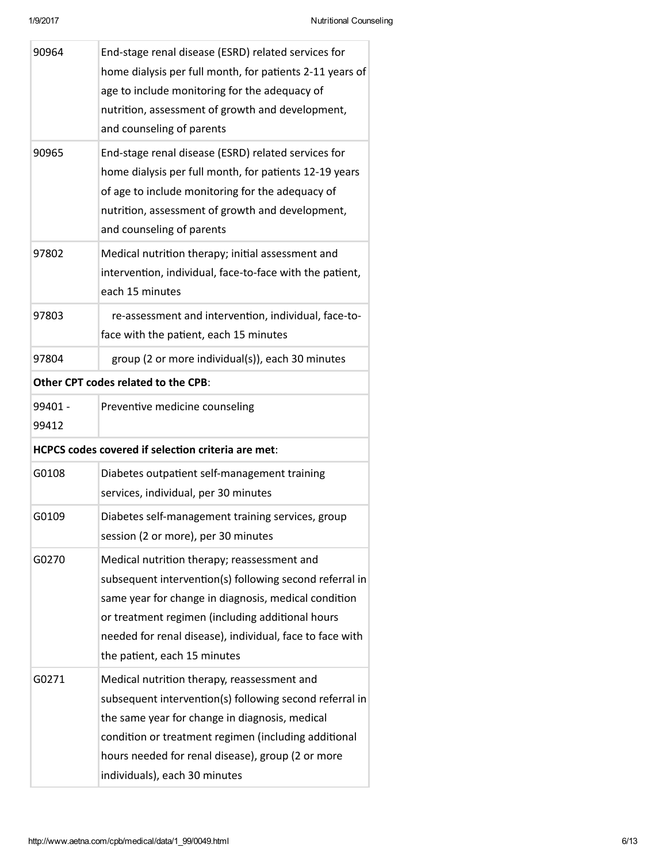| 90964                                                     | End-stage renal disease (ESRD) related services for<br>home dialysis per full month, for patients 2-11 years of<br>age to include monitoring for the adequacy of<br>nutrition, assessment of growth and development,<br>and counseling of parents                                                              |  |
|-----------------------------------------------------------|----------------------------------------------------------------------------------------------------------------------------------------------------------------------------------------------------------------------------------------------------------------------------------------------------------------|--|
| 90965                                                     | End-stage renal disease (ESRD) related services for<br>home dialysis per full month, for patients 12-19 years<br>of age to include monitoring for the adequacy of<br>nutrition, assessment of growth and development,<br>and counseling of parents                                                             |  |
| 97802                                                     | Medical nutrition therapy; initial assessment and<br>intervention, individual, face-to-face with the patient,<br>each 15 minutes                                                                                                                                                                               |  |
| 97803                                                     | re-assessment and intervention, individual, face-to-<br>face with the patient, each 15 minutes                                                                                                                                                                                                                 |  |
| 97804                                                     | group (2 or more individual(s)), each 30 minutes                                                                                                                                                                                                                                                               |  |
| Other CPT codes related to the CPB:                       |                                                                                                                                                                                                                                                                                                                |  |
| 99401 -<br>99412                                          | Preventive medicine counseling                                                                                                                                                                                                                                                                                 |  |
| <b>HCPCS codes covered if selection criteria are met:</b> |                                                                                                                                                                                                                                                                                                                |  |
| G0108                                                     | Diabetes outpatient self-management training<br>services, individual, per 30 minutes                                                                                                                                                                                                                           |  |
| G0109                                                     | Diabetes self-management training services, group<br>session (2 or more), per 30 minutes                                                                                                                                                                                                                       |  |
| G0270                                                     | Medical nutrition therapy; reassessment and<br>subsequent intervention(s) following second referral in<br>same year for change in diagnosis, medical condition<br>or treatment regimen (including additional hours<br>needed for renal disease), individual, face to face with<br>the patient, each 15 minutes |  |
| G0271                                                     | Medical nutrition therapy, reassessment and<br>subsequent intervention(s) following second referral in<br>the same year for change in diagnosis, medical<br>condition or treatment regimen (including additional<br>hours needed for renal disease), group (2 or more<br>individuals), each 30 minutes         |  |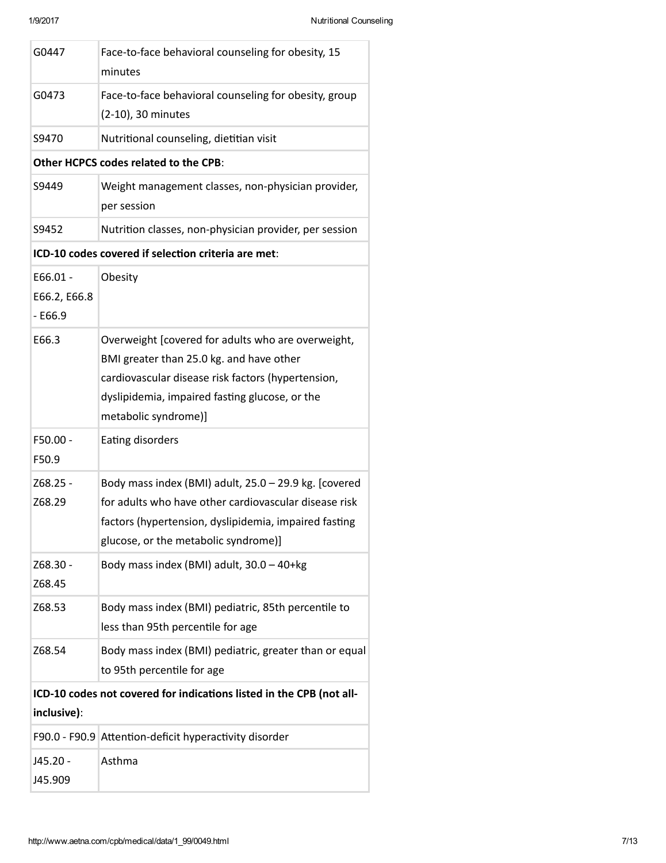Ŧ

F

÷.

| G0447                                   | Face-to-face behavioral counseling for obesity, 15<br>minutes                                                                                                                                                                  |
|-----------------------------------------|--------------------------------------------------------------------------------------------------------------------------------------------------------------------------------------------------------------------------------|
| G0473                                   | Face-to-face behavioral counseling for obesity, group<br>(2-10), 30 minutes                                                                                                                                                    |
| S9470                                   | Nutritional counseling, dietitian visit                                                                                                                                                                                        |
|                                         | Other HCPCS codes related to the CPB:                                                                                                                                                                                          |
| S9449                                   | Weight management classes, non-physician provider,<br>per session                                                                                                                                                              |
| S9452                                   | Nutrition classes, non-physician provider, per session                                                                                                                                                                         |
|                                         | ICD-10 codes covered if selection criteria are met:                                                                                                                                                                            |
| $E66.01 -$<br>E66.2, E66.8<br>$- E66.9$ | Obesity                                                                                                                                                                                                                        |
| E66.3                                   | Overweight [covered for adults who are overweight,<br>BMI greater than 25.0 kg. and have other<br>cardiovascular disease risk factors (hypertension,<br>dyslipidemia, impaired fasting glucose, or the<br>metabolic syndrome)] |
| F50.00 -<br>F50.9                       | Eating disorders                                                                                                                                                                                                               |
| Z68.25 -<br>Z68.29                      | Body mass index (BMI) adult, 25.0 - 29.9 kg. [covered<br>for adults who have other cardiovascular disease risk<br>factors (hypertension, dyslipidemia, impaired fasting<br>glucose, or the metabolic syndrome)]                |
| Z68.30 -<br>Z68.45                      | Body mass index (BMI) adult, 30.0 - 40+kg                                                                                                                                                                                      |
| Z68.53                                  | Body mass index (BMI) pediatric, 85th percentile to<br>less than 95th percentile for age                                                                                                                                       |
| Z68.54                                  | Body mass index (BMI) pediatric, greater than or equal<br>to 95th percentile for age                                                                                                                                           |
|                                         | ICD-10 codes not covered for indications listed in the CPB (not all-                                                                                                                                                           |
| inclusive):                             |                                                                                                                                                                                                                                |
|                                         | F90.0 - F90.9 Attention-deficit hyperactivity disorder                                                                                                                                                                         |
| J45.20 -<br>J45.909                     | Asthma                                                                                                                                                                                                                         |
|                                         |                                                                                                                                                                                                                                |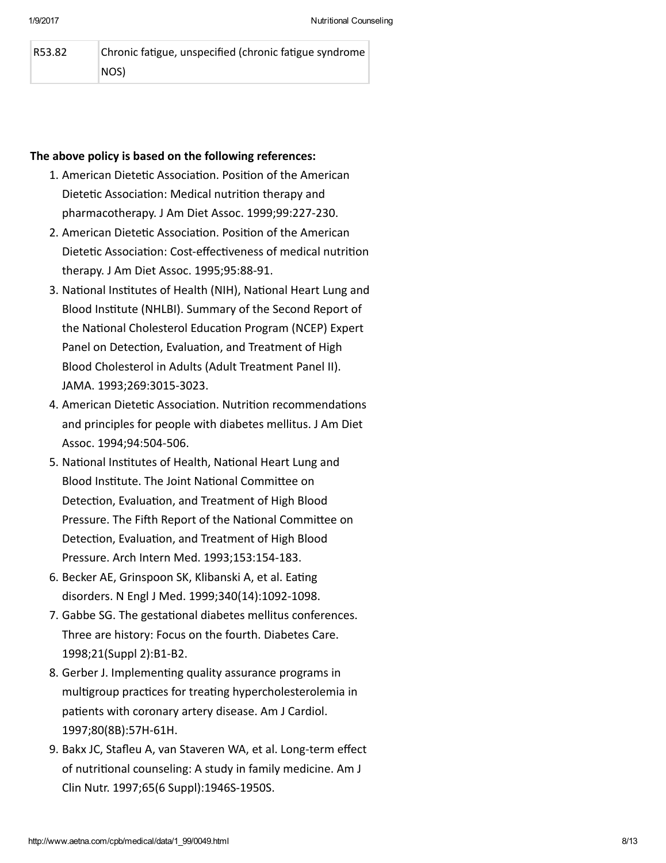| R53.82 | Chronic fatigue, unspecified (chronic fatigue syndrome |
|--------|--------------------------------------------------------|
|        | NOS)                                                   |

### The above policy is based on the following references:

- 1. American Dietetic Association. Position of the American Dietetic Association: Medical nutrition therapy and pharmacotherapy. J Am Diet Assoc. 1999;99:227‐230.
- 2. American Dietetic Association. Position of the American Dietetic Association: Cost-effectiveness of medical nutrition therapy. J Am Diet Assoc. 1995;95:88‐91.
- 3. National Institutes of Health (NIH), National Heart Lung and Blood Institute (NHLBI). Summary of the Second Report of the National Cholesterol Education Program (NCEP) Expert Panel on Detection, Evaluation, and Treatment of High Blood Cholesterol in Adults (Adult Treatment Panel II). JAMA. 1993;269:3015‐3023.
- 4. American Dietetic Association. Nutrition recommendations and principles for people with diabetes mellitus. J Am Diet Assoc. 1994;94:504‐506.
- 5. National Institutes of Health, National Heart Lung and Blood Institute. The Joint National Committee on Detection, Evaluation, and Treatment of High Blood Pressure. The Fifth Report of the National Committee on Detection, Evaluation, and Treatment of High Blood Pressure. Arch Intern Med. 1993;153:154‐183.
- 6. Becker AE, Grinspoon SK, Klibanski A, et al. Eating disorders. N Engl J Med. 1999;340(14):1092‐1098.
- 7. Gabbe SG. The gestational diabetes mellitus conferences. Three are history: Focus on the fourth. Diabetes Care. 1998;21(Suppl 2):B1‐B2.
- 8. Gerber J. Implementing quality assurance programs in multigroup practices for treating hypercholesterolemia in patients with coronary artery disease. Am J Cardiol. 1997;80(8B):57H‐61H.
- 9. Bakx JC, Stafleu A, van Staveren WA, et al. Long‐term effect of nutritional counseling: A study in family medicine. Am J Clin Nutr. 1997;65(6 Suppl):1946S‐1950S.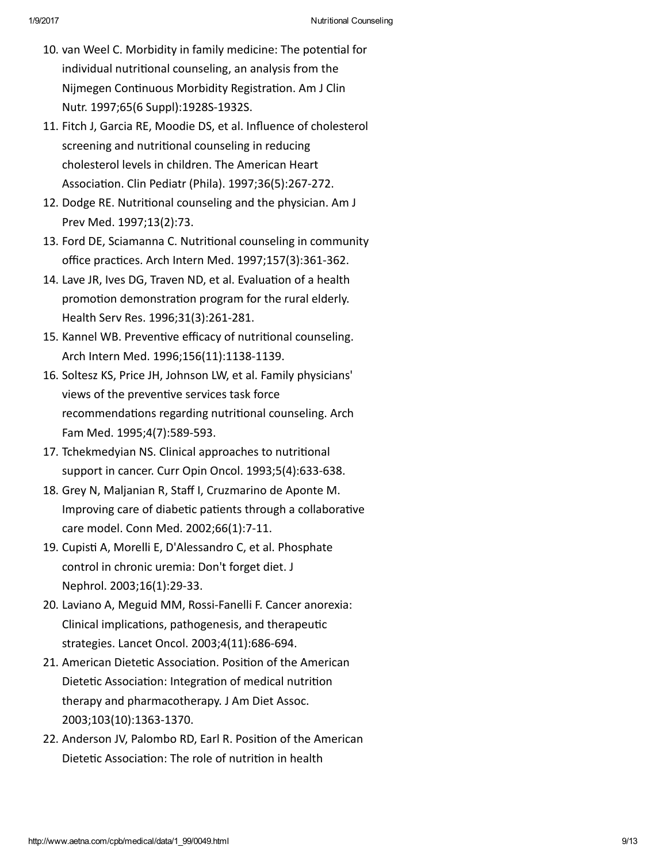- 10. van Weel C. Morbidity in family medicine: The potential for individual nutrional counseling, an analysis from the Nijmegen Continuous Morbidity Registration. Am J Clin Nutr. 1997;65(6 Suppl):1928S‐1932S.
- 11. Fitch J, Garcia RE, Moodie DS, et al. Influence of cholesterol screening and nutritional counseling in reducing cholesterol levels in children. The American Heart Association. Clin Pediatr (Phila). 1997;36(5):267-272.
- 12. Dodge RE. Nutritional counseling and the physician. Am J Prev Med. 1997;13(2):73.
- 13. Ford DE, Sciamanna C. Nutritional counseling in community office practices. Arch Intern Med. 1997;157(3):361-362.
- 14. Lave JR, Ives DG, Traven ND, et al. Evaluation of a health promotion demonstration program for the rural elderly. Health Serv Res. 1996;31(3):261‐281.
- 15. Kannel WB. Preventive efficacy of nutritional counseling. Arch Intern Med. 1996;156(11):1138‐1139.
- 16. Soltesz KS, Price JH, Johnson LW, et al. Family physicians' views of the preventive services task force recommendations regarding nutritional counseling. Arch Fam Med. 1995;4(7):589‐593.
- 17. Tchekmedyian NS. Clinical approaches to nutritional support in cancer. Curr Opin Oncol. 1993;5(4):633‐638.
- 18. Grey N, Maljanian R, Staff I, Cruzmarino de Aponte M. Improving care of diabetic patients through a collaborative care model. Conn Med. 2002;66(1):7‐11.
- 19. Cupisti A, Morelli E, D'Alessandro C, et al. Phosphate control in chronic uremia: Don't forget diet. J Nephrol. 2003;16(1):29‐33.
- 20. Laviano A, Meguid MM, Rossi‐Fanelli F. Cancer anorexia: Clinical implications, pathogenesis, and therapeutic strategies. Lancet Oncol. 2003;4(11):686‐694.
- 21. American Dietetic Association. Position of the American Dietetic Association: Integration of medical nutrition therapy and pharmacotherapy. J Am Diet Assoc. 2003;103(10):1363‐1370.
- 22. Anderson JV, Palombo RD, Earl R. Position of the American Dietetic Association: The role of nutrition in health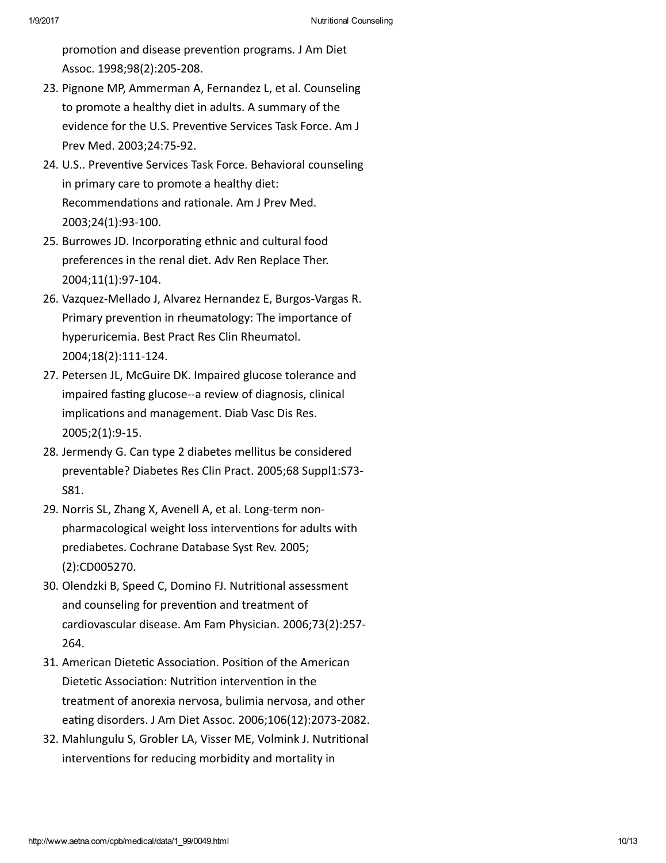promotion and disease prevention programs. J Am Diet Assoc. 1998;98(2):205‐208.

- 23. Pignone MP, Ammerman A, Fernandez L, et al. Counseling to promote a healthy diet in adults. A summary of the evidence for the U.S. Preventive Services Task Force. Am J Prev Med. 2003;24:75‐92.
- 24. U.S.. Preventive Services Task Force. Behavioral counseling in primary care to promote a healthy diet: Recommendations and rationale. Am J Prev Med. 2003;24(1):93‐100.
- 25. Burrowes JD. Incorporating ethnic and cultural food preferences in the renal diet. Adv Ren Replace Ther. 2004;11(1):97‐104.
- 26. Vazquez‐Mellado J, Alvarez Hernandez E, Burgos‐Vargas R. Primary prevention in rheumatology: The importance of hyperuricemia. Best Pract Res Clin Rheumatol. 2004;18(2):111‐124.
- 27. Petersen JL, McGuire DK. Impaired glucose tolerance and impaired fasting glucose--a review of diagnosis, clinical implications and management. Diab Vasc Dis Res. 2005;2(1):9‐15.
- 28. Jermendy G. Can type 2 diabetes mellitus be considered preventable? Diabetes Res Clin Pract. 2005;68 Suppl1:S73‐ S81.
- 29. Norris SL, Zhang X, Avenell A, et al. Long‐term non‐ pharmacological weight loss interventions for adults with prediabetes. Cochrane Database Syst Rev. 2005; (2):CD005270.
- 30. Olendzki B, Speed C, Domino FJ. Nutritional assessment and counseling for prevention and treatment of cardiovascular disease. Am Fam Physician. 2006;73(2):257‐ 264.
- 31. American Dietetic Association. Position of the American Dietetic Association: Nutrition intervention in the treatment of anorexia nervosa, bulimia nervosa, and other eating disorders. J Am Diet Assoc. 2006;106(12):2073-2082.
- 32. Mahlungulu S, Grobler LA, Visser ME, Volmink J. Nutritional interventions for reducing morbidity and mortality in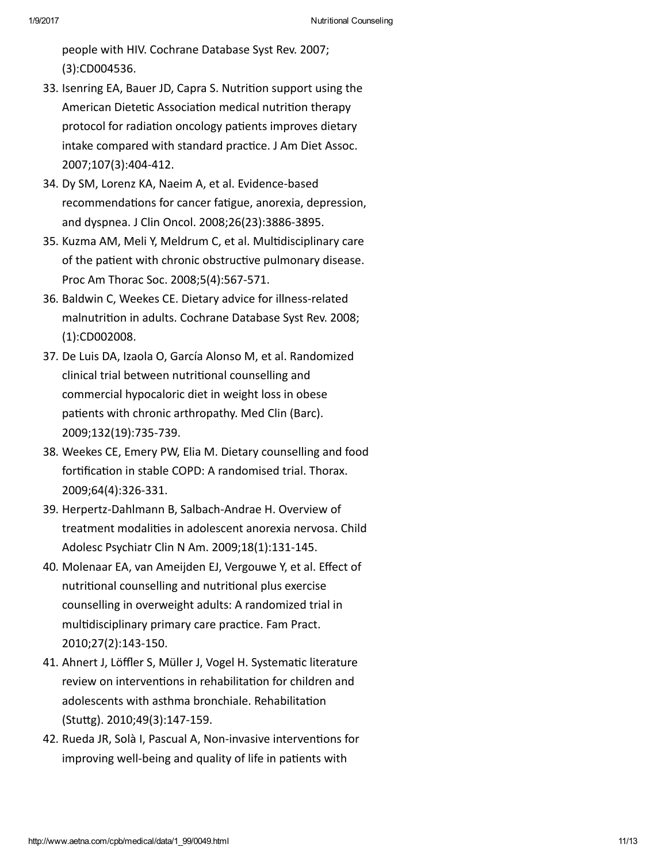people with HIV. Cochrane Database Syst Rev. 2007; (3):CD004536.

- 33. Isenring EA, Bauer JD, Capra S. Nutrition support using the American Dietetic Association medical nutrition therapy protocol for radiation oncology patients improves dietary intake compared with standard practice. J Am Diet Assoc. 2007;107(3):404‐412.
- 34. Dy SM, Lorenz KA, Naeim A, et al. Evidence‐based recommendations for cancer fatigue, anorexia, depression, and dyspnea. J Clin Oncol. 2008;26(23):3886‐3895.
- 35. Kuzma AM, Meli Y, Meldrum C, et al. Multidisciplinary care of the patient with chronic obstructive pulmonary disease. Proc Am Thorac Soc. 2008;5(4):567‐571.
- 36. Baldwin C, Weekes CE. Dietary advice for illness-related malnutrition in adults. Cochrane Database Syst Rev. 2008; (1):CD002008.
- 37. De Luis DA, Izaola O, García Alonso M, et al. Randomized clinical trial between nutrional counselling and commercial hypocaloric diet in weight loss in obese patients with chronic arthropathy. Med Clin (Barc). 2009;132(19):735‐739.
- 38. Weekes CE, Emery PW, Elia M. Dietary counselling and food fortification in stable COPD: A randomised trial. Thorax. 2009;64(4):326‐331.
- 39. Herpertz‐Dahlmann B, Salbach‐Andrae H. Overview of treatment modalities in adolescent anorexia nervosa. Child Adolesc Psychiatr Clin N Am. 2009;18(1):131‐145.
- 40. Molenaar EA, van Ameijden EJ, Vergouwe Y, et al. Effect of nutritional counselling and nutritional plus exercise counselling in overweight adults: A randomized trial in multidisciplinary primary care practice. Fam Pract. 2010;27(2):143‐150.
- 41. Ahnert J, Löffler S, Müller J, Vogel H. Systematic literature review on interventions in rehabilitation for children and adolescents with asthma bronchiale. Rehabilitation (Stuᙀg). 2010;49(3):147‐159.
- 42. Rueda JR, Solà I, Pascual A, Non-invasive interventions for improving well-being and quality of life in patients with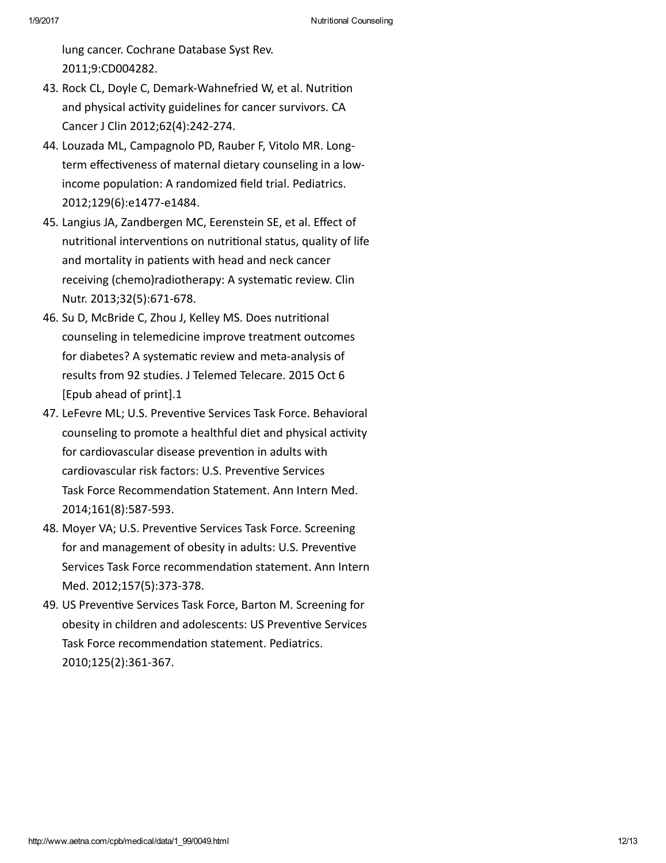lung cancer. Cochrane Database Syst Rev. 2011;9:CD004282.

- 43. Rock CL, Doyle C, Demark-Wahnefried W, et al. Nutrition and physical activity guidelines for cancer survivors. CA Cancer J Clin 2012;62(4):242‐274.
- 44. Louzada ML, Campagnolo PD, Rauber F, Vitolo MR. Long‐ term effectiveness of maternal dietary counseling in a lowincome population: A randomized field trial. Pediatrics. 2012;129(6):e1477‐e1484.
- 45. Langius JA, Zandbergen MC, Eerenstein SE, et al. Effect of nutritional interventions on nutritional status, quality of life and mortality in patients with head and neck cancer receiving (chemo)radiotherapy: A systematic review. Clin Nutr. 2013;32(5):671‐678.
- 46. Su D, McBride C, Zhou J, Kelley MS. Does nutritional counseling in telemedicine improve treatment outcomes for diabetes? A systematic review and meta-analysis of results from 92 studies. J Telemed Telecare. 2015 Oct 6 [Epub ahead of print].1
- 47. LeFevre ML; U.S. Preventive Services Task Force. Behavioral counseling to promote a healthful diet and physical activity for cardiovascular disease prevention in adults with cardiovascular risk factors: U.S. Preventive Services Task Force Recommendation Statement. Ann Intern Med. 2014;161(8):587‐593.
- 48. Moyer VA; U.S. Preventive Services Task Force. Screening for and management of obesity in adults: U.S. Preventive Services Task Force recommendation statement. Ann Intern Med. 2012;157(5):373‐378.
- 49. US Preventive Services Task Force, Barton M. Screening for obesity in children and adolescents: US Preventive Services Task Force recommendation statement. Pediatrics. 2010;125(2):361‐367.